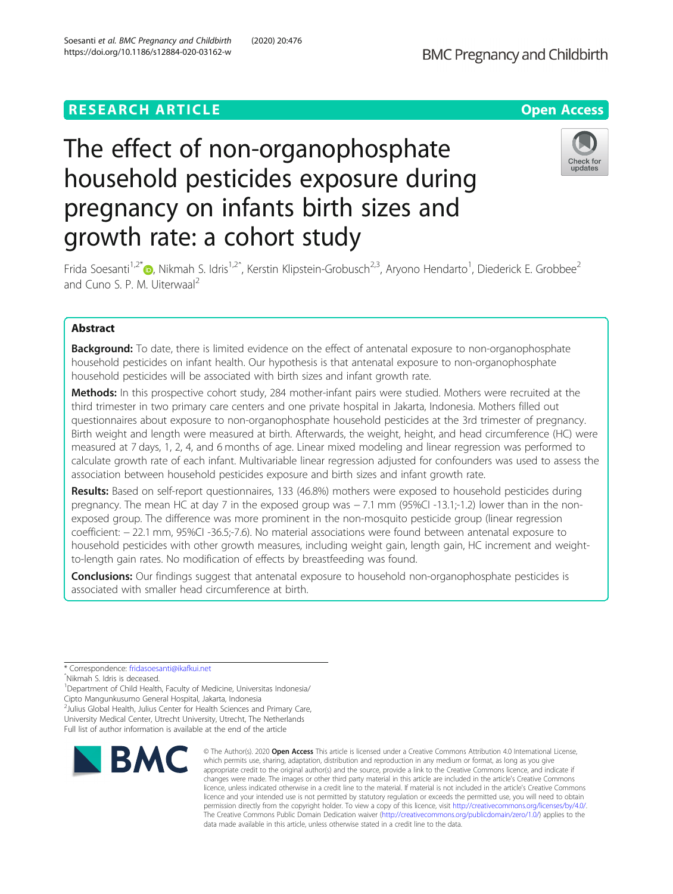## **RESEARCH ARTICLE Example 2014 12:30 The Open Access**



# The effect of non-organophosphate household pesticides exposure during pregnancy on infants birth sizes and growth rate: a cohort study



Frida Soesanti<sup>1[,](http://orcid.org/0000-0002-4319-5528)2\*</sup>®, Nikmah S. Idris<sup>1,2</sup>ˆ, Kerstin Klipstein-Grobusch<sup>2,3</sup>, Aryono Hendarto<sup>1</sup>, Diederick E. Grobbee<sup>2</sup> and Cuno S. P. M. Uiterwaal<sup>2</sup>

## Abstract

**Background:** To date, there is limited evidence on the effect of antenatal exposure to non-organophosphate household pesticides on infant health. Our hypothesis is that antenatal exposure to non-organophosphate household pesticides will be associated with birth sizes and infant growth rate.

Methods: In this prospective cohort study, 284 mother-infant pairs were studied. Mothers were recruited at the third trimester in two primary care centers and one private hospital in Jakarta, Indonesia. Mothers filled out questionnaires about exposure to non-organophosphate household pesticides at the 3rd trimester of pregnancy. Birth weight and length were measured at birth. Afterwards, the weight, height, and head circumference (HC) were measured at 7 days, 1, 2, 4, and 6 months of age. Linear mixed modeling and linear regression was performed to calculate growth rate of each infant. Multivariable linear regression adjusted for confounders was used to assess the association between household pesticides exposure and birth sizes and infant growth rate.

Results: Based on self-report questionnaires, 133 (46.8%) mothers were exposed to household pesticides during pregnancy. The mean HC at day 7 in the exposed group was -7.1 mm (95%CI -13.1;-1.2) lower than in the nonexposed group. The difference was more prominent in the non-mosquito pesticide group (linear regression coefficient: − 22.1 mm, 95%CI -36.5;-7.6). No material associations were found between antenatal exposure to household pesticides with other growth measures, including weight gain, length gain, HC increment and weightto-length gain rates. No modification of effects by breastfeeding was found.

**Conclusions:** Our findings suggest that antenatal exposure to household non-organophosphate pesticides is associated with smaller head circumference at birth.

\* Correspondence: [fridasoesanti@ikafkui.net](mailto:fridasoesanti@ikafkui.net) <sup>ˆ</sup>Nikmah S. Idris is deceased.

<sup>1</sup>Department of Child Health, Faculty of Medicine, Universitas Indonesia/ Cipto Mangunkusumo General Hospital, Jakarta, Indonesia

<sup>2</sup>Julius Global Health, Julius Center for Health Sciences and Primary Care, University Medical Center, Utrecht University, Utrecht, The Netherlands

Full list of author information is available at the end of the article



<sup>©</sup> The Author(s), 2020 **Open Access** This article is licensed under a Creative Commons Attribution 4.0 International License, which permits use, sharing, adaptation, distribution and reproduction in any medium or format, as long as you give appropriate credit to the original author(s) and the source, provide a link to the Creative Commons licence, and indicate if changes were made. The images or other third party material in this article are included in the article's Creative Commons licence, unless indicated otherwise in a credit line to the material. If material is not included in the article's Creative Commons licence and your intended use is not permitted by statutory regulation or exceeds the permitted use, you will need to obtain permission directly from the copyright holder. To view a copy of this licence, visit [http://creativecommons.org/licenses/by/4.0/.](http://creativecommons.org/licenses/by/4.0/) The Creative Commons Public Domain Dedication waiver [\(http://creativecommons.org/publicdomain/zero/1.0/](http://creativecommons.org/publicdomain/zero/1.0/)) applies to the data made available in this article, unless otherwise stated in a credit line to the data.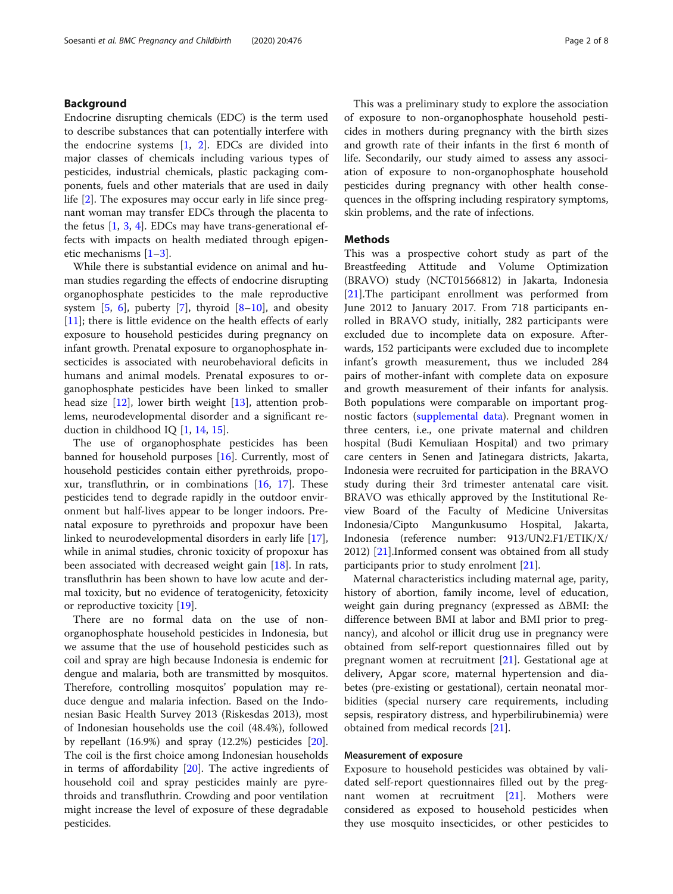### Background

Endocrine disrupting chemicals (EDC) is the term used to describe substances that can potentially interfere with the endocrine systems  $[1, 2]$  $[1, 2]$  $[1, 2]$  $[1, 2]$ . EDCs are divided into major classes of chemicals including various types of pesticides, industrial chemicals, plastic packaging components, fuels and other materials that are used in daily life [\[2](#page-7-0)]. The exposures may occur early in life since pregnant woman may transfer EDCs through the placenta to the fetus [[1,](#page-7-0) [3](#page-7-0), [4\]](#page-7-0). EDCs may have trans-generational effects with impacts on health mediated through epigenetic mechanisms [[1](#page-7-0)–[3](#page-7-0)].

While there is substantial evidence on animal and human studies regarding the effects of endocrine disrupting organophosphate pesticides to the male reproductive system  $[5, 6]$  $[5, 6]$  $[5, 6]$  $[5, 6]$ , puberty  $[7]$  $[7]$ , thyroid  $[8-10]$  $[8-10]$  $[8-10]$ , and obesity [[11\]](#page-7-0); there is little evidence on the health effects of early exposure to household pesticides during pregnancy on infant growth. Prenatal exposure to organophosphate insecticides is associated with neurobehavioral deficits in humans and animal models. Prenatal exposures to organophosphate pesticides have been linked to smaller head size  $[12]$  $[12]$ , lower birth weight  $[13]$  $[13]$ , attention problems, neurodevelopmental disorder and a significant reduction in childhood IQ [[1](#page-7-0), [14](#page-7-0), [15](#page-7-0)].

The use of organophosphate pesticides has been banned for household purposes [[16\]](#page-7-0). Currently, most of household pesticides contain either pyrethroids, propoxur, transfluthrin, or in combinations [\[16](#page-7-0), [17](#page-7-0)]. These pesticides tend to degrade rapidly in the outdoor environment but half-lives appear to be longer indoors. Prenatal exposure to pyrethroids and propoxur have been linked to neurodevelopmental disorders in early life [\[17](#page-7-0)], while in animal studies, chronic toxicity of propoxur has been associated with decreased weight gain [[18\]](#page-7-0). In rats, transfluthrin has been shown to have low acute and dermal toxicity, but no evidence of teratogenicity, fetoxicity or reproductive toxicity [\[19](#page-7-0)].

There are no formal data on the use of nonorganophosphate household pesticides in Indonesia, but we assume that the use of household pesticides such as coil and spray are high because Indonesia is endemic for dengue and malaria, both are transmitted by mosquitos. Therefore, controlling mosquitos' population may reduce dengue and malaria infection. Based on the Indonesian Basic Health Survey 2013 (Riskesdas 2013), most of Indonesian households use the coil (48.4%), followed by repellant  $(16.9%)$  and spray  $(12.2%)$  pesticides  $[20]$  $[20]$ . The coil is the first choice among Indonesian households in terms of affordability [\[20](#page-7-0)]. The active ingredients of household coil and spray pesticides mainly are pyrethroids and transfluthrin. Crowding and poor ventilation might increase the level of exposure of these degradable pesticides.

This was a preliminary study to explore the association of exposure to non-organophosphate household pesticides in mothers during pregnancy with the birth sizes and growth rate of their infants in the first 6 month of life. Secondarily, our study aimed to assess any association of exposure to non-organophosphate household pesticides during pregnancy with other health consequences in the offspring including respiratory symptoms, skin problems, and the rate of infections.

#### **Methods**

This was a prospective cohort study as part of the Breastfeeding Attitude and Volume Optimization (BRAVO) study (NCT01566812) in Jakarta, Indonesia [[21\]](#page-7-0).The participant enrollment was performed from June 2012 to January 2017. From 718 participants enrolled in BRAVO study, initially, 282 participants were excluded due to incomplete data on exposure. Afterwards, 152 participants were excluded due to incomplete infant's growth measurement, thus we included 284 pairs of mother-infant with complete data on exposure and growth measurement of their infants for analysis. Both populations were comparable on important prognostic factors ([supplemental data](#page-6-0)). Pregnant women in three centers, i.e., one private maternal and children hospital (Budi Kemuliaan Hospital) and two primary care centers in Senen and Jatinegara districts, Jakarta, Indonesia were recruited for participation in the BRAVO study during their 3rd trimester antenatal care visit. BRAVO was ethically approved by the Institutional Review Board of the Faculty of Medicine Universitas Indonesia/Cipto Mangunkusumo Hospital, Jakarta, Indonesia (reference number: 913/UN2.F1/ETIK/X/ 2012) [[21\]](#page-7-0).Informed consent was obtained from all study participants prior to study enrolment [\[21](#page-7-0)].

Maternal characteristics including maternal age, parity, history of abortion, family income, level of education, weight gain during pregnancy (expressed as ΔBMI: the difference between BMI at labor and BMI prior to pregnancy), and alcohol or illicit drug use in pregnancy were obtained from self-report questionnaires filled out by pregnant women at recruitment [\[21\]](#page-7-0). Gestational age at delivery, Apgar score, maternal hypertension and diabetes (pre-existing or gestational), certain neonatal morbidities (special nursery care requirements, including sepsis, respiratory distress, and hyperbilirubinemia) were obtained from medical records [[21\]](#page-7-0).

#### Measurement of exposure

Exposure to household pesticides was obtained by validated self-report questionnaires filled out by the pregnant women at recruitment [\[21](#page-7-0)]. Mothers were considered as exposed to household pesticides when they use mosquito insecticides, or other pesticides to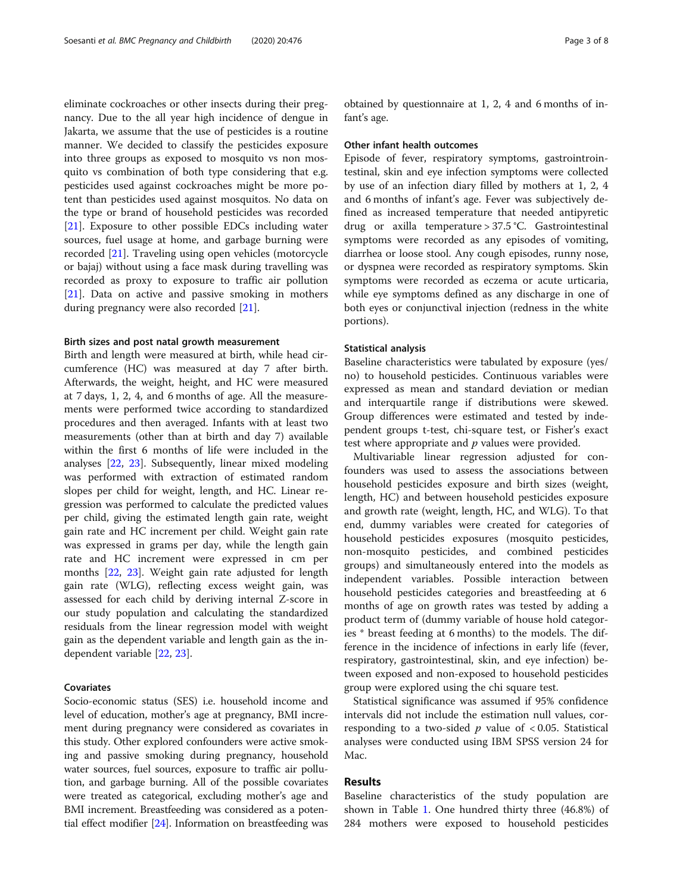eliminate cockroaches or other insects during their pregnancy. Due to the all year high incidence of dengue in Jakarta, we assume that the use of pesticides is a routine manner. We decided to classify the pesticides exposure into three groups as exposed to mosquito vs non mosquito vs combination of both type considering that e.g. pesticides used against cockroaches might be more potent than pesticides used against mosquitos. No data on the type or brand of household pesticides was recorded [[21\]](#page-7-0). Exposure to other possible EDCs including water sources, fuel usage at home, and garbage burning were recorded [\[21\]](#page-7-0). Traveling using open vehicles (motorcycle or bajaj) without using a face mask during travelling was recorded as proxy to exposure to traffic air pollution [[21\]](#page-7-0). Data on active and passive smoking in mothers during pregnancy were also recorded [[21\]](#page-7-0).

#### Birth sizes and post natal growth measurement

Birth and length were measured at birth, while head circumference (HC) was measured at day 7 after birth. Afterwards, the weight, height, and HC were measured at 7 days, 1, 2, 4, and 6 months of age. All the measurements were performed twice according to standardized procedures and then averaged. Infants with at least two measurements (other than at birth and day 7) available within the first 6 months of life were included in the analyses [[22](#page-7-0), [23](#page-7-0)]. Subsequently, linear mixed modeling was performed with extraction of estimated random slopes per child for weight, length, and HC. Linear regression was performed to calculate the predicted values per child, giving the estimated length gain rate, weight gain rate and HC increment per child. Weight gain rate was expressed in grams per day, while the length gain rate and HC increment were expressed in cm per months [[22,](#page-7-0) [23](#page-7-0)]. Weight gain rate adjusted for length gain rate (WLG), reflecting excess weight gain, was assessed for each child by deriving internal Z-score in our study population and calculating the standardized residuals from the linear regression model with weight gain as the dependent variable and length gain as the independent variable [\[22](#page-7-0), [23\]](#page-7-0).

#### Covariates

Socio-economic status (SES) i.e. household income and level of education, mother's age at pregnancy, BMI increment during pregnancy were considered as covariates in this study. Other explored confounders were active smoking and passive smoking during pregnancy, household water sources, fuel sources, exposure to traffic air pollution, and garbage burning. All of the possible covariates were treated as categorical, excluding mother's age and BMI increment. Breastfeeding was considered as a potential effect modifier [[24\]](#page-7-0). Information on breastfeeding was obtained by questionnaire at 1, 2, 4 and 6 months of infant's age.

#### Other infant health outcomes

Episode of fever, respiratory symptoms, gastrointrointestinal, skin and eye infection symptoms were collected by use of an infection diary filled by mothers at 1, 2, 4 and 6 months of infant's age. Fever was subjectively defined as increased temperature that needed antipyretic drug or axilla temperature > 37.5 °C. Gastrointestinal symptoms were recorded as any episodes of vomiting, diarrhea or loose stool. Any cough episodes, runny nose, or dyspnea were recorded as respiratory symptoms. Skin symptoms were recorded as eczema or acute urticaria, while eye symptoms defined as any discharge in one of both eyes or conjunctival injection (redness in the white portions).

#### Statistical analysis

Baseline characteristics were tabulated by exposure (yes/ no) to household pesticides. Continuous variables were expressed as mean and standard deviation or median and interquartile range if distributions were skewed. Group differences were estimated and tested by independent groups t-test, chi-square test, or Fisher's exact test where appropriate and  $p$  values were provided.

Multivariable linear regression adjusted for confounders was used to assess the associations between household pesticides exposure and birth sizes (weight, length, HC) and between household pesticides exposure and growth rate (weight, length, HC, and WLG). To that end, dummy variables were created for categories of household pesticides exposures (mosquito pesticides, non-mosquito pesticides, and combined pesticides groups) and simultaneously entered into the models as independent variables. Possible interaction between household pesticides categories and breastfeeding at 6 months of age on growth rates was tested by adding a product term of (dummy variable of house hold categories \* breast feeding at 6 months) to the models. The difference in the incidence of infections in early life (fever, respiratory, gastrointestinal, skin, and eye infection) between exposed and non-exposed to household pesticides group were explored using the chi square test.

Statistical significance was assumed if 95% confidence intervals did not include the estimation null values, corresponding to a two-sided  $p$  value of < 0.05. Statistical analyses were conducted using IBM SPSS version 24 for Mac.

#### Results

Baseline characteristics of the study population are shown in Table [1](#page-3-0). One hundred thirty three (46.8%) of 284 mothers were exposed to household pesticides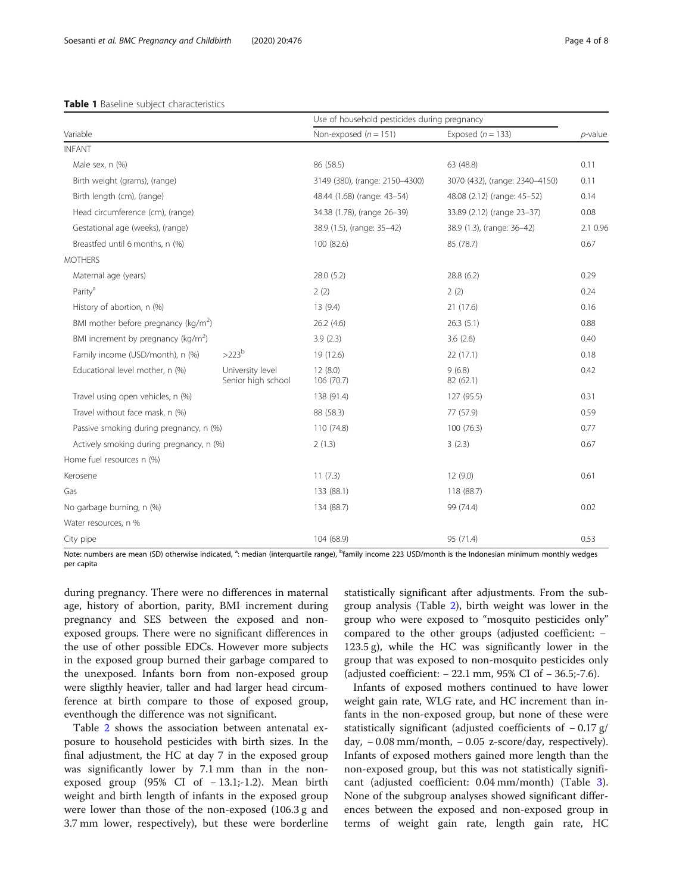#### <span id="page-3-0"></span>Table 1 Baseline subject characteristics

|                                                 |                                        | Use of household pesticides during pregnancy |                                |            |
|-------------------------------------------------|----------------------------------------|----------------------------------------------|--------------------------------|------------|
| Variable                                        |                                        | Non-exposed $(n = 151)$                      | Exposed $(n = 133)$            | $p$ -value |
| <b>INFANT</b>                                   |                                        |                                              |                                |            |
| Male sex, n (%)                                 |                                        | 86 (58.5)                                    | 63 (48.8)                      | 0.11       |
| Birth weight (grams), (range)                   |                                        | 3149 (380), (range: 2150-4300)               | 3070 (432), (range: 2340-4150) | 0.11       |
| Birth length (cm), (range)                      |                                        | 48.44 (1.68) (range: 43-54)                  | 48.08 (2.12) (range: 45-52)    | 0.14       |
| Head circumference (cm), (range)                |                                        | 34.38 (1.78), (range 26-39)                  | 33.89 (2.12) (range 23-37)     | 0.08       |
| Gestational age (weeks), (range)                |                                        | 38.9 (1.5), (range: 35-42)                   | 38.9 (1.3), (range: 36-42)     | 2.1 0.96   |
| Breastfed until 6 months, n (%)                 |                                        | 100 (82.6)                                   | 85 (78.7)                      | 0.67       |
| <b>MOTHERS</b>                                  |                                        |                                              |                                |            |
| Maternal age (years)                            |                                        | 28.0 (5.2)                                   | 28.8 (6.2)                     | 0.29       |
| Parity <sup>a</sup>                             |                                        | 2(2)                                         | 2(2)                           | 0.24       |
| History of abortion, n (%)                      |                                        | 13(9.4)                                      | 21 (17.6)                      | 0.16       |
| BMI mother before pregnancy ( $\text{kg/m}^2$ ) |                                        | 26.2(4.6)                                    | 26.3(5.1)                      | 0.88       |
| BMI increment by pregnancy ( $\text{kg/m}^2$ )  |                                        | 3.9(2.3)                                     | 3.6(2.6)                       | 0.40       |
| Family income (USD/month), n (%)                | $>223^b$                               | 19 (12.6)                                    | 22 (17.1)                      | 0.18       |
| Educational level mother, n (%)                 | University level<br>Senior high school | 12(8.0)<br>106 (70.7)                        | 9(6.8)<br>82 (62.1)            | 0.42       |
| Travel using open vehicles, n (%)               |                                        | 138 (91.4)                                   | 127 (95.5)                     | 0.31       |
| Travel without face mask, n (%)                 |                                        | 88 (58.3)                                    | 77 (57.9)                      | 0.59       |
| Passive smoking during pregnancy, n (%)         |                                        | 110 (74.8)                                   | 100(76.3)                      | 0.77       |
| Actively smoking during pregnancy, n (%)        |                                        | 2(1.3)                                       | 3(2.3)                         | 0.67       |
| Home fuel resources n (%)                       |                                        |                                              |                                |            |
| Kerosene                                        |                                        | 11(7.3)                                      | 12(9.0)                        | 0.61       |
| Gas                                             |                                        | 133 (88.1)                                   | 118 (88.7)                     |            |
| No garbage burning, n (%)                       |                                        | 134 (88.7)                                   | 99 (74.4)                      | 0.02       |
| Water resources, n %                            |                                        |                                              |                                |            |
| City pipe                                       |                                        | 104 (68.9)                                   | 95 (71.4)                      | 0.53       |

Note: numbers are mean (SD) otherwise indicated, <sup>a</sup>: median (interquartile range), <sup>b</sup>family income 223 USD/month is the Indonesian minimum monthly wedges per capita

during pregnancy. There were no differences in maternal age, history of abortion, parity, BMI increment during pregnancy and SES between the exposed and nonexposed groups. There were no significant differences in the use of other possible EDCs. However more subjects in the exposed group burned their garbage compared to the unexposed. Infants born from non-exposed group were sligthly heavier, taller and had larger head circumference at birth compare to those of exposed group, eventhough the difference was not significant.

Table [2](#page-4-0) shows the association between antenatal exposure to household pesticides with birth sizes. In the final adjustment, the HC at day 7 in the exposed group was significantly lower by 7.1 mm than in the nonexposed group  $(95\% \text{ CI of } -13.1; -1.2)$ . Mean birth weight and birth length of infants in the exposed group were lower than those of the non-exposed (106.3 g and 3.7 mm lower, respectively), but these were borderline

statistically significant after adjustments. From the subgroup analysis (Table [2](#page-4-0)), birth weight was lower in the group who were exposed to "mosquito pesticides only" compared to the other groups (adjusted coefficient: − 123.5 g), while the HC was significantly lower in the group that was exposed to non-mosquito pesticides only (adjusted coefficient: − 22.1 mm, 95% CI of − 36.5;-7.6).

Infants of exposed mothers continued to have lower weight gain rate, WLG rate, and HC increment than infants in the non-exposed group, but none of these were statistically significant (adjusted coefficients of − 0.17 g/ day,  $-0.08$  mm/month,  $-0.05$  z-score/day, respectively). Infants of exposed mothers gained more length than the non-exposed group, but this was not statistically significant (adjusted coefficient: 0.04 mm/month) (Table [3](#page-4-0)). None of the subgroup analyses showed significant differences between the exposed and non-exposed group in terms of weight gain rate, length gain rate, HC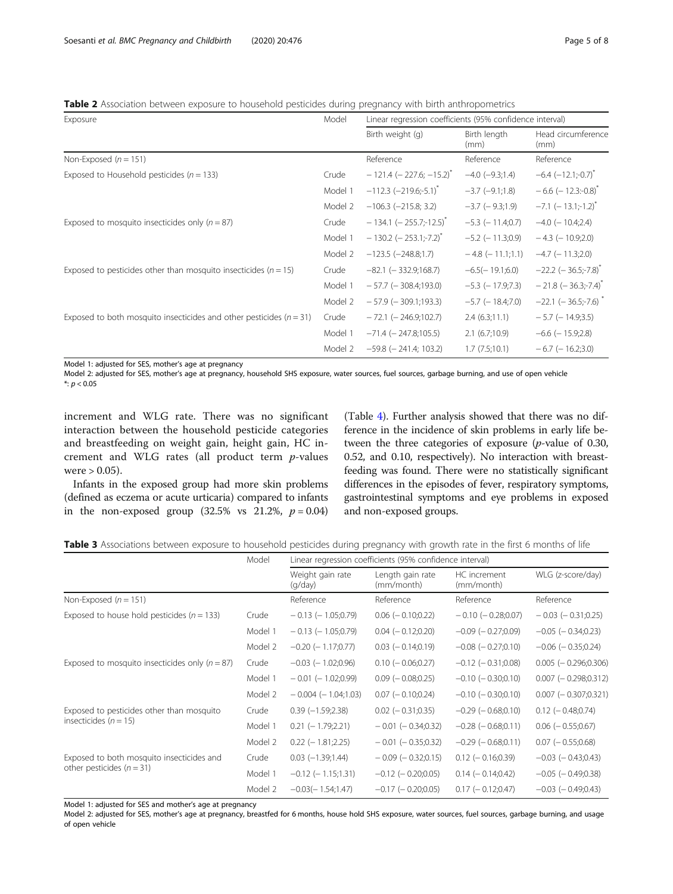<span id="page-4-0"></span>Table 2 Association between exposure to household pesticides during pregnancy with birth anthropometrics

| Exposure                                                                | Model   | Linear regression coefficients (95% confidence interval) |                        |                                       |
|-------------------------------------------------------------------------|---------|----------------------------------------------------------|------------------------|---------------------------------------|
|                                                                         |         | Birth weight (g)                                         | Birth length<br>(mm)   | Head circumference<br>(mm)            |
| Non-Exposed $(n = 151)$                                                 |         | Reference                                                | Reference              | Reference                             |
| Exposed to Household pesticides ( $n = 133$ )                           | Crude   | $-121.4$ (-227.6; -15.2) <sup>*</sup>                    | $-4.0$ ( $-9.3;1.4$ )  | $-6.4$ $(-12.1,-0.7)^{*}$             |
|                                                                         | Model 1 | $-112.3$ $(-219.6,-5.1)^{x}$                             | $-3.7$ $(-9.1;1.8)$    | $-6.6$ ( $-12.3$ :-0.8) <sup>*</sup>  |
|                                                                         | Model 2 | $-106.3$ ( $-215.8$ ; 3.2)                               | $-3.7$ ( $-9.3;1.9$ )  | $-7.1$ (-13.1;-1.2) <sup>*</sup>      |
| Exposed to mosquito insecticides only ( $n = 87$ )                      | Crude   | $-134.1$ (-255.7;-12.5) <sup>*</sup>                     | $-5.3$ ( $-11.4;0.7$ ) | $-4.0$ ( $-10.4;2.4$ )                |
|                                                                         | Model 1 | $-130.2$ (-253.1;-7.2) <sup>*</sup>                      | $-5.2$ ( $-11.3;0.9$ ) | $-4.3$ ( $-10.9;2.0$ )                |
|                                                                         | Model 2 | $-123.5$ ( $-248.8;1.7$ )                                | $-4.8$ ( $-11.1;1.1$ ) | $-4.7$ ( $-11.3;2.0$ )                |
| Exposed to pesticides other than mosquito insecticides ( $n = 15$ )     | Crude   | $-82.1$ ( $-332.9;168.7$ )                               | $-6.5(-19.1;6.0)$      | $-22.2$ (-36.5;-7.8) <sup>*</sup>     |
|                                                                         | Model 1 | $-57.7$ ( $-308.4;193.0$ )                               | $-5.3$ ( $-17.9;7.3$ ) | $-21.8$ ( $-36.3$ ;-7.4) <sup>*</sup> |
|                                                                         | Model 2 | $-57.9$ ( $-309.1;193.3$ )                               | $-5.7$ ( $-18.4;7.0$ ) | $-22.1$ ( $-36.5$ ;-7.6) <sup>*</sup> |
| Exposed to both mosquito insecticides and other pesticides ( $n = 31$ ) | Crude   | $-72.1$ ( $-246.9;102.7$ )                               | 2.4(6.3;11.1)          | $-5.7$ ( $-14.9;3.5$ )                |
|                                                                         | Model 1 | $-71.4$ ( $-247.8;105.5$ )                               | 2.1(6.7;10.9)          | $-6.6$ ( $-15.9;2.8$ )                |
|                                                                         | Model 2 | $-59.8$ ( $-241.4$ ; 103.2)                              | 1.7(7.5;10.1)          | $-6.7$ ( $-16.2;3.0$ )                |

Model 1: adjusted for SES, mother's age at pregnancy

Model 2: adjusted for SES, mother's age at pregnancy, household SHS exposure, water sources, fuel sources, garbage burning, and use of open vehicle  $*: p < 0.05$ 

increment and WLG rate. There was no significant interaction between the household pesticide categories and breastfeeding on weight gain, height gain, HC increment and WLG rates (all product term p-values  $were > 0.05$ ).

Infants in the exposed group had more skin problems (defined as eczema or acute urticaria) compared to infants in the non-exposed group (32.5% vs 21.2%,  $p = 0.04$ )

(Table [4\)](#page-5-0). Further analysis showed that there was no difference in the incidence of skin problems in early life between the three categories of exposure (p-value of 0.30, 0.52, and 0.10, respectively). No interaction with breastfeeding was found. There were no statistically significant differences in the episodes of fever, respiratory symptoms, gastrointestinal symptoms and eye problems in exposed and non-exposed groups.

| Table 3 Associations between exposure to household pesticides during pregnancy with growth rate in the first 6 months of life |  |  |  |
|-------------------------------------------------------------------------------------------------------------------------------|--|--|--|
|-------------------------------------------------------------------------------------------------------------------------------|--|--|--|

|                                                                            | Model   | Linear regression coefficients (95% confidence interval) |                                |                            |                          |
|----------------------------------------------------------------------------|---------|----------------------------------------------------------|--------------------------------|----------------------------|--------------------------|
|                                                                            |         | Weight gain rate<br>(q/day)                              | Length gain rate<br>(mm/month) | HC increment<br>(mm/month) | WLG (z-score/day)        |
| Non-Exposed $(n = 151)$                                                    |         | Reference                                                | Reference                      | Reference                  | Reference                |
| Exposed to house hold pesticides ( $n = 133$ )                             | Crude   | $-0.13$ ( $-1.05;0.79$ )                                 | $0.06$ ( $-0.10;0.22$ )        | $-0.10$ ( $-0.28;0.07$ )   | $-0.03$ ( $-0.31;0.25$ ) |
|                                                                            | Model 1 | $-0.13$ ( $-1.05;0.79$ )                                 | $0.04 (-0.12; 0.20)$           | $-0.09$ ( $-0.27;0.09$ )   | $-0.05$ ( $-0.34;0.23$ ) |
|                                                                            | Model 2 | $-0.20$ ( $-1.17;0.77$ )                                 | $0.03$ ( $-0.14;0.19$ )        | $-0.08$ ( $-0.27;0.10$ )   | $-0.06$ ( $-0.35;0.24$ ) |
| Exposed to mosquito insecticides only ( $n = 87$ )                         | Crude   | $-0.03$ ( $-1.02;0.96$ )                                 | $0.10 (-0.06; 0.27)$           | $-0.12$ ( $-0.31;0.08$ )   | $0.005$ (- 0.296;0.306)  |
|                                                                            | Model 1 | $-0.01$ ( $-1.02;0.99$ )                                 | $0.09$ ( $-0.08;0.25$ )        | $-0.10$ ( $-0.30;0.10$ )   | $0.007$ (- 0.298;0.312)  |
|                                                                            | Model 2 | $-0.004$ ( $-1.04;1.03$ )                                | $0.07$ ( $-0.10;0.24$ )        | $-0.10$ ( $-0.30;0.10$ )   | $0.007$ (- 0.307;0.321)  |
| Exposed to pesticides other than mosquito<br>insecticides ( $n = 15$ )     | Crude   | $0.39$ ( $-1.59;2.38$ )                                  | $0.02$ ( $-0.31;0.35$ )        | $-0.29$ ( $-0.68;0.10$ )   | $0.12$ ( $-0.48;0.74$ )  |
|                                                                            | Model 1 | $0.21$ (-1.79;2.21)                                      | $-0.01$ ( $-0.34;0.32$ )       | $-0.28$ ( $-0.68;0.11$ )   | $0.06$ ( $-0.55;0.67$ )  |
|                                                                            | Model 2 | $0.22$ (- 1.81;2.25)                                     | $-0.01$ ( $-0.35;0.32$ )       | $-0.29$ ( $-0.68;0.11$ )   | $0.07$ ( $-0.55;0.68$ )  |
| Exposed to both mosquito insecticides and<br>other pesticides ( $n = 31$ ) | Crude   | $0.03$ (-1.39;1.44)                                      | $-0.09$ ( $-0.32;0.15$ )       | $0.12$ (- 0.16;0.39)       | $-0.03$ ( $-0.43;0.43$ ) |
|                                                                            | Model 1 | $-0.12$ ( $-1.15$ ; 1.31)                                | $-0.12$ ( $-0.20;0.05$ )       | $0.14 (-0.14; 0.42)$       | $-0.05$ ( $-0.49;0.38$ ) |
|                                                                            | Model 2 | $-0.03(-1.54;1.47)$                                      | $-0.17$ ( $-0.20;0.05$ )       | $0.17 (-0.12; 0.47)$       | $-0.03$ ( $-0.49;0.43$ ) |

Model 1: adjusted for SES and mother's age at pregnancy

Model 2: adjusted for SES, mother's age at pregnancy, breastfed for 6 months, house hold SHS exposure, water sources, fuel sources, garbage burning, and usage of open vehicle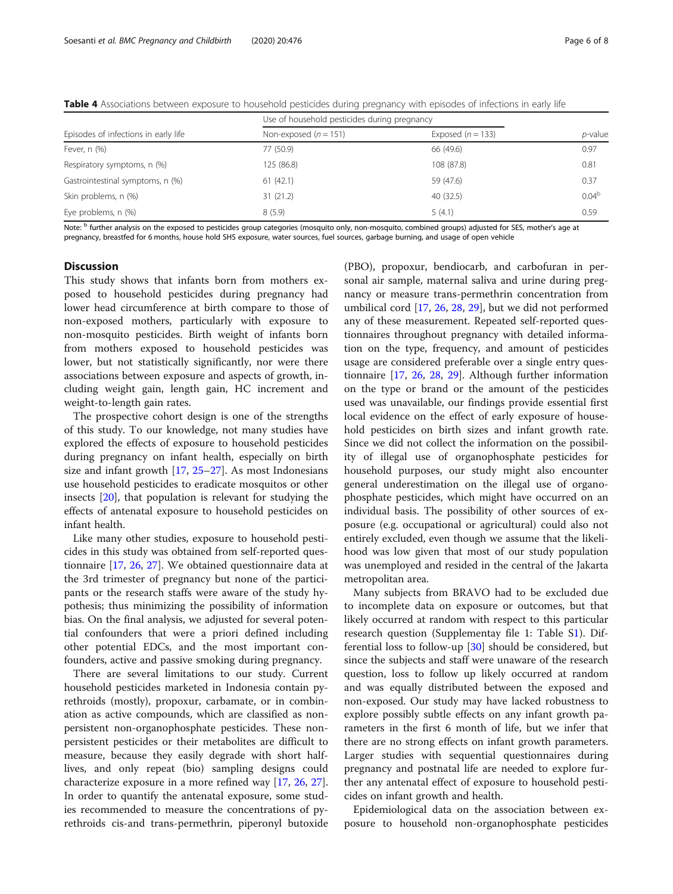<span id="page-5-0"></span>Table 4 Associations between exposure to household pesticides during pregnancy with episodes of infections in early life

|                                      | Use of household pesticides during pregnancy |                     |            |
|--------------------------------------|----------------------------------------------|---------------------|------------|
| Episodes of infections in early life | Non-exposed $(n = 151)$                      | Exposed $(n = 133)$ | $p$ -value |
| Fever, $n$ $(\%)$                    | 77 (50.9)                                    | 66 (49.6)           | 0.97       |
| Respiratory symptoms, n (%)          | 125 (86.8)                                   | 108 (87.8)          | 0.81       |
| Gastrointestinal symptoms, n (%)     | 61(42.1)                                     | 59 (47.6)           | 0.37       |
| Skin problems, n (%)                 | 31(21.2)                                     | 40 (32.5)           | $0.04^{b}$ |
| Eye problems, n (%)                  | 8(5.9)                                       | 5(4.1)              | 0.59       |

Note: <sup>b</sup> further analysis on the exposed to pesticides group categories (mosquito only, non-mosquito, combined groups) adjusted for SES, mother's age at pregnancy, breastfed for 6 months, house hold SHS exposure, water sources, fuel sources, garbage burning, and usage of open vehicle

#### **Discussion**

This study shows that infants born from mothers exposed to household pesticides during pregnancy had lower head circumference at birth compare to those of non-exposed mothers, particularly with exposure to non-mosquito pesticides. Birth weight of infants born from mothers exposed to household pesticides was lower, but not statistically significantly, nor were there associations between exposure and aspects of growth, including weight gain, length gain, HC increment and weight-to-length gain rates.

The prospective cohort design is one of the strengths of this study. To our knowledge, not many studies have explored the effects of exposure to household pesticides during pregnancy on infant health, especially on birth size and infant growth [\[17](#page-7-0), [25](#page-7-0)–[27\]](#page-7-0). As most Indonesians use household pesticides to eradicate mosquitos or other insects [\[20\]](#page-7-0), that population is relevant for studying the effects of antenatal exposure to household pesticides on infant health.

Like many other studies, exposure to household pesticides in this study was obtained from self-reported questionnaire [[17,](#page-7-0) [26,](#page-7-0) [27\]](#page-7-0). We obtained questionnaire data at the 3rd trimester of pregnancy but none of the participants or the research staffs were aware of the study hypothesis; thus minimizing the possibility of information bias. On the final analysis, we adjusted for several potential confounders that were a priori defined including other potential EDCs, and the most important confounders, active and passive smoking during pregnancy.

There are several limitations to our study. Current household pesticides marketed in Indonesia contain pyrethroids (mostly), propoxur, carbamate, or in combination as active compounds, which are classified as nonpersistent non-organophosphate pesticides. These nonpersistent pesticides or their metabolites are difficult to measure, because they easily degrade with short halflives, and only repeat (bio) sampling designs could characterize exposure in a more refined way [\[17](#page-7-0), [26](#page-7-0), [27](#page-7-0)]. In order to quantify the antenatal exposure, some studies recommended to measure the concentrations of pyrethroids cis-and trans-permethrin, piperonyl butoxide

(PBO), propoxur, bendiocarb, and carbofuran in personal air sample, maternal saliva and urine during pregnancy or measure trans-permethrin concentration from umbilical cord [[17,](#page-7-0) [26,](#page-7-0) [28](#page-7-0), [29](#page-7-0)], but we did not performed any of these measurement. Repeated self-reported questionnaires throughout pregnancy with detailed information on the type, frequency, and amount of pesticides usage are considered preferable over a single entry questionnaire [[17](#page-7-0), [26](#page-7-0), [28](#page-7-0), [29](#page-7-0)]. Although further information on the type or brand or the amount of the pesticides used was unavailable, our findings provide essential first local evidence on the effect of early exposure of household pesticides on birth sizes and infant growth rate. Since we did not collect the information on the possibility of illegal use of organophosphate pesticides for household purposes, our study might also encounter general underestimation on the illegal use of organophosphate pesticides, which might have occurred on an individual basis. The possibility of other sources of exposure (e.g. occupational or agricultural) could also not entirely excluded, even though we assume that the likelihood was low given that most of our study population was unemployed and resided in the central of the Jakarta metropolitan area.

Many subjects from BRAVO had to be excluded due to incomplete data on exposure or outcomes, but that likely occurred at random with respect to this particular research question (Supplementay file 1: Table S[1\)](#page-6-0). Differential loss to follow-up [\[30](#page-7-0)] should be considered, but since the subjects and staff were unaware of the research question, loss to follow up likely occurred at random and was equally distributed between the exposed and non-exposed. Our study may have lacked robustness to explore possibly subtle effects on any infant growth parameters in the first 6 month of life, but we infer that there are no strong effects on infant growth parameters. Larger studies with sequential questionnaires during pregnancy and postnatal life are needed to explore further any antenatal effect of exposure to household pesticides on infant growth and health.

Epidemiological data on the association between exposure to household non-organophosphate pesticides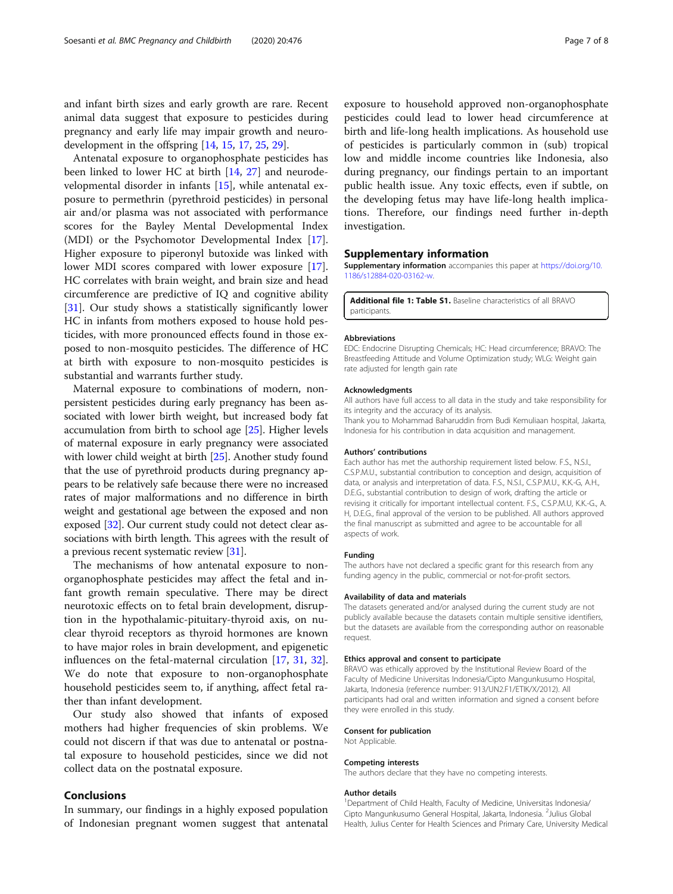<span id="page-6-0"></span>and infant birth sizes and early growth are rare. Recent animal data suggest that exposure to pesticides during pregnancy and early life may impair growth and neurodevelopment in the offspring [\[14](#page-7-0), [15,](#page-7-0) [17,](#page-7-0) [25,](#page-7-0) [29\]](#page-7-0).

Antenatal exposure to organophosphate pesticides has been linked to lower HC at birth [\[14](#page-7-0), [27\]](#page-7-0) and neurodevelopmental disorder in infants [\[15\]](#page-7-0), while antenatal exposure to permethrin (pyrethroid pesticides) in personal air and/or plasma was not associated with performance scores for the Bayley Mental Developmental Index (MDI) or the Psychomotor Developmental Index [\[17](#page-7-0)]. Higher exposure to piperonyl butoxide was linked with lower MDI scores compared with lower exposure [\[17](#page-7-0)]. HC correlates with brain weight, and brain size and head circumference are predictive of IQ and cognitive ability [[31\]](#page-7-0). Our study shows a statistically significantly lower HC in infants from mothers exposed to house hold pesticides, with more pronounced effects found in those exposed to non-mosquito pesticides. The difference of HC at birth with exposure to non-mosquito pesticides is substantial and warrants further study.

Maternal exposure to combinations of modern, nonpersistent pesticides during early pregnancy has been associated with lower birth weight, but increased body fat accumulation from birth to school age [[25](#page-7-0)]. Higher levels of maternal exposure in early pregnancy were associated with lower child weight at birth [\[25\]](#page-7-0). Another study found that the use of pyrethroid products during pregnancy appears to be relatively safe because there were no increased rates of major malformations and no difference in birth weight and gestational age between the exposed and non exposed [\[32\]](#page-7-0). Our current study could not detect clear associations with birth length. This agrees with the result of a previous recent systematic review [\[31\]](#page-7-0).

The mechanisms of how antenatal exposure to nonorganophosphate pesticides may affect the fetal and infant growth remain speculative. There may be direct neurotoxic effects on to fetal brain development, disruption in the hypothalamic-pituitary-thyroid axis, on nuclear thyroid receptors as thyroid hormones are known to have major roles in brain development, and epigenetic influences on the fetal-maternal circulation [[17,](#page-7-0) [31,](#page-7-0) [32](#page-7-0)]. We do note that exposure to non-organophosphate household pesticides seem to, if anything, affect fetal rather than infant development.

Our study also showed that infants of exposed mothers had higher frequencies of skin problems. We could not discern if that was due to antenatal or postnatal exposure to household pesticides, since we did not collect data on the postnatal exposure.

#### Conclusions

In summary, our findings in a highly exposed population of Indonesian pregnant women suggest that antenatal

exposure to household approved non-organophosphate pesticides could lead to lower head circumference at birth and life-long health implications. As household use of pesticides is particularly common in (sub) tropical low and middle income countries like Indonesia, also during pregnancy, our findings pertain to an important public health issue. Any toxic effects, even if subtle, on the developing fetus may have life-long health implications. Therefore, our findings need further in-depth investigation.

#### Supplementary information

Supplementary information accompanies this paper at [https://doi.org/10.](https://doi.org/10.1186/s12884-020-03162-w) [1186/s12884-020-03162-w](https://doi.org/10.1186/s12884-020-03162-w).

Additional file 1: Table S1. Baseline characteristics of all BRAVO participants.

#### Abbreviations

EDC: Endocrine Disrupting Chemicals; HC: Head circumference; BRAVO: The Breastfeeding Attitude and Volume Optimization study; WLG: Weight gain rate adjusted for length gain rate

#### Acknowledgments

All authors have full access to all data in the study and take responsibility for its integrity and the accuracy of its analysis.

Thank you to Mohammad Baharuddin from Budi Kemuliaan hospital, Jakarta, Indonesia for his contribution in data acquisition and management.

#### Authors' contributions

Each author has met the authorship requirement listed below. F.S., N.S.I., C.S.P.M.U., substantial contribution to conception and design, acquisition of data, or analysis and interpretation of data. F.S., N.S.I., C.S.P.M.U., K.K.-G, A.H., D.E.G., substantial contribution to design of work, drafting the article or revising it critically for important intellectual content. F.S., C.S.P.M.U, K.K.-G., A. H, D.E.G., final approval of the version to be published. All authors approved the final manuscript as submitted and agree to be accountable for all aspects of work.

#### Funding

The authors have not declared a specific grant for this research from any funding agency in the public, commercial or not-for-profit sectors.

#### Availability of data and materials

The datasets generated and/or analysed during the current study are not publicly available because the datasets contain multiple sensitive identifiers, but the datasets are available from the corresponding author on reasonable request.

#### Ethics approval and consent to participate

BRAVO was ethically approved by the Institutional Review Board of the Faculty of Medicine Universitas Indonesia/Cipto Mangunkusumo Hospital, Jakarta, Indonesia (reference number: 913/UN2.F1/ETIK/X/2012). All participants had oral and written information and signed a consent before they were enrolled in this study.

#### Consent for publication

Not Applicable.

#### Competing interests

The authors declare that they have no competing interests.

#### Author details

<sup>1</sup>Department of Child Health, Faculty of Medicine, Universitas Indonesia/ Cipto Mangunkusumo General Hospital, Jakarta, Indonesia. <sup>2</sup>Julius Global Health, Julius Center for Health Sciences and Primary Care, University Medical